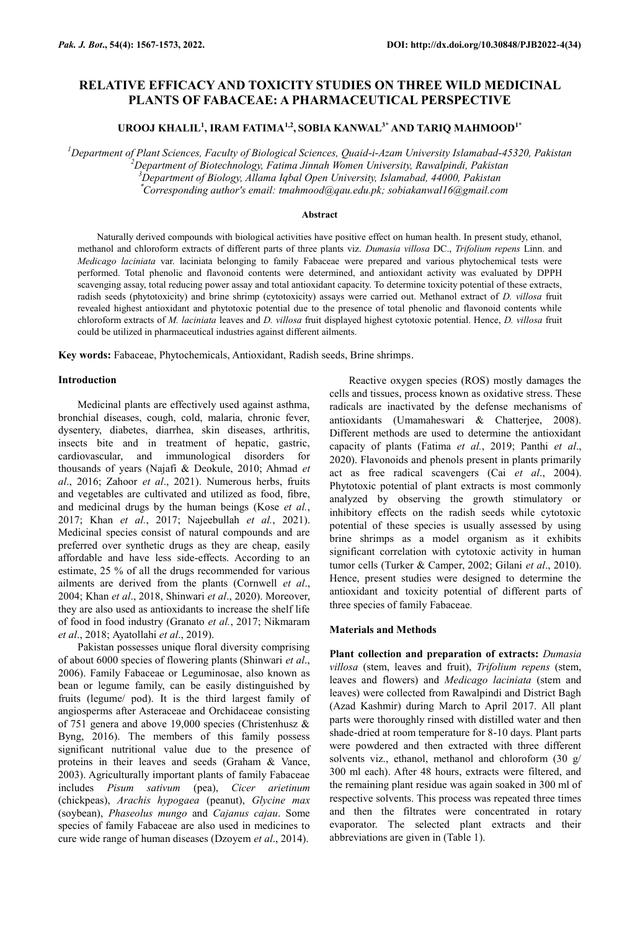# **RELATIVE EFFICACY AND TOXICITY STUDIES ON THREE WILD MEDICINAL PLANTS OF FABACEAE: A PHARMACEUTICAL PERSPECTIVE**

**UROOJ KHALIL<sup>1</sup> , IRAM FATIMA1,2 , SOBIA KANWAL3\* AND TARIQ MAHMOOD1\***

*<sup>1</sup>Department of Plant Sciences, Faculty of Biological Sciences, Quaid-i-Azam University Islamabad-45320, Pakistan*

*<sup>2</sup>Department of Biotechnology, Fatima Jinnah Women University, Rawalpindi, Pakistan*

*<sup>3</sup>Department of Biology, Allama Iqbal Open University, Islamabad, 44000, Pakistan*

\**Corresponding author's email: [tmahmood@qau.edu.pk;](mailto:tmahmood@qau.edu.pk) [sobiakanwal16@gmail.com](mailto:sobiakanwal16@gmail.com)*

#### **Abstract**

Naturally derived compounds with biological activities have positive effect on human health. In present study, ethanol, methanol and chloroform extracts of different parts of three plants viz. *Dumasia villosa* DC., *Trifolium repens* Linn. and *Medicago laciniata* var. laciniata belonging to family Fabaceae were prepared and various phytochemical tests were performed. Total phenolic and flavonoid contents were determined, and antioxidant activity was evaluated by DPPH scavenging assay, total reducing power assay and total antioxidant capacity. To determine toxicity potential of these extracts, radish seeds (phytotoxicity) and brine shrimp (cytotoxicity) assays were carried out. Methanol extract of *D. villosa* fruit revealed highest antioxidant and phytotoxic potential due to the presence of total phenolic and flavonoid contents while chloroform extracts of *M. laciniata* leaves and *D. villosa* fruit displayed highest cytotoxic potential. Hence, *D. villosa* fruit could be utilized in pharmaceutical industries against different ailments.

**Key words:** Fabaceae, Phytochemicals, Antioxidant, Radish seeds, Brine shrimps.

### **Introduction**

Medicinal plants are effectively used against asthma, bronchial diseases, cough, cold, malaria, chronic fever, dysentery, diabetes, diarrhea, skin diseases, arthritis, insects bite and in treatment of hepatic, gastric, cardiovascular, and immunological disorders for thousands of years (Najafi & Deokule, 2010; Ahmad *et al*., 2016; Zahoor *et al*., 2021). Numerous herbs, fruits and vegetables are cultivated and utilized as food, fibre, and medicinal drugs by the human beings (Kose *et al.*, 2017; Khan *et al.*, 2017; Najeebullah *et al.*, 2021). Medicinal species consist of natural compounds and are preferred over synthetic drugs as they are cheap, easily affordable and have less side-effects. According to an estimate, 25 % of all the drugs recommended for various ailments are derived from the plants (Cornwell *et al*., 2004; Khan *et al*., 2018, Shinwari *et al*., 2020). Moreover, they are also used as antioxidants to increase the shelf life of food in food industry (Granato *et al.*, 2017; Nikmaram *et al*., 2018; Ayatollahi *et al*., 2019).

Pakistan possesses unique floral diversity comprising of about 6000 species of flowering plants (Shinwari *et al*., 2006). Family Fabaceae or Leguminosae, also known as bean or legume family, can be easily distinguished by fruits (legume/ pod). It is the third largest family of angiosperms after Asteraceae and Orchidaceae consisting of 751 genera and above 19,000 species (Christenhusz & Byng, 2016). The members of this family possess significant nutritional value due to the presence of proteins in their leaves and seeds (Graham & Vance, 2003). Agriculturally important plants of family Fabaceae includes *Pisum sativum* (pea), *Cicer arietinum* (chickpeas), *Arachis hypogaea* (peanut), *Glycine max* (soybean), *Phaseolus mungo* and *Cajanus cajau*. Some species of family Fabaceae are also used in medicines to cure wide range of human diseases (Dzoyem *et al*., 2014).

Reactive oxygen species (ROS) mostly damages the cells and tissues, process known as oxidative stress. These radicals are inactivated by the defense mechanisms of antioxidants (Umamaheswari & Chatterjee, 2008). Different methods are used to determine the antioxidant capacity of plants (Fatima *et al.*, 2019; Panthi *et al*., 2020). Flavonoids and phenols present in plants primarily act as free radical scavengers (Cai *et al*., 2004). Phytotoxic potential of plant extracts is most commonly analyzed by observing the growth stimulatory or inhibitory effects on the radish seeds while cytotoxic potential of these species is usually assessed by using brine shrimps as a model organism as it exhibits significant correlation with cytotoxic activity in human tumor cells (Turker & Camper, 2002; Gilani *et al*., 2010). Hence, present studies were designed to determine the antioxidant and toxicity potential of different parts of three species of family Fabaceae*.*

### **Materials and Methods**

**Plant collection and preparation of extracts:** *Dumasia villosa* (stem, leaves and fruit), *Trifolium repens* (stem, leaves and flowers) and *Medicago laciniata* (stem and leaves) were collected from Rawalpindi and District Bagh (Azad Kashmir) during March to April 2017. All plant parts were thoroughly rinsed with distilled water and then shade-dried at room temperature for 8-10 days. Plant parts were powdered and then extracted with three different solvents viz., ethanol, methanol and chloroform (30 g/ 300 ml each). After 48 hours, extracts were filtered, and the remaining plant residue was again soaked in 300 ml of respective solvents. This process was repeated three times and then the filtrates were concentrated in rotary evaporator. The selected plant extracts and their abbreviations are given in (Table 1).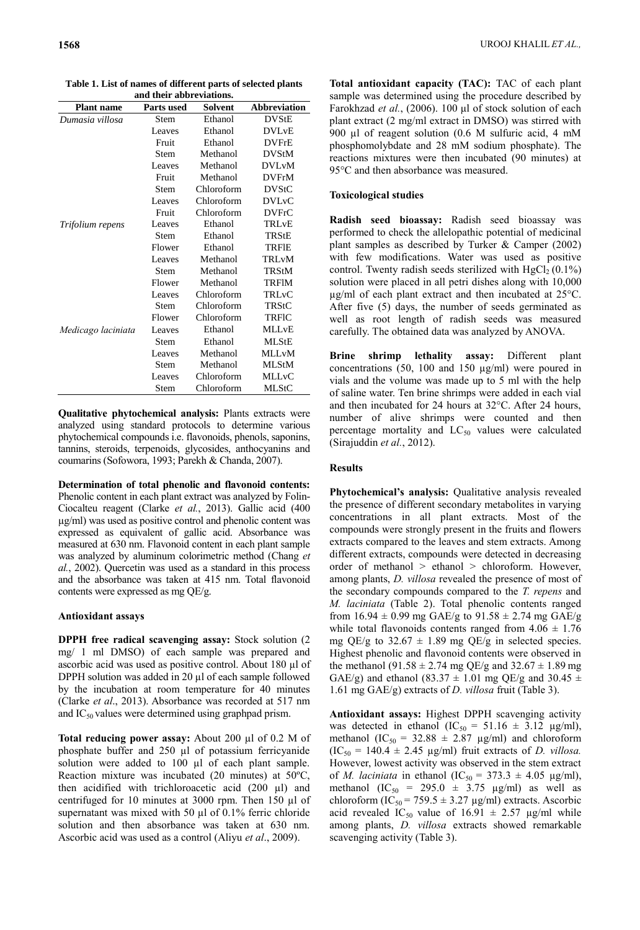| <b>Plant name</b>  | <b>Parts used</b> | <b>Solvent</b> | <b>Abbreviation</b>     |
|--------------------|-------------------|----------------|-------------------------|
| Dumasia villosa    | Stem              | Ethanol        | <b>DVStE</b>            |
|                    | Leaves            | Ethanol        | <b>DVL<sub>v</sub>E</b> |
|                    | Fruit             | Ethanol        | <b>DVFrE</b>            |
|                    | Stem              | Methanol       | <b>DVStM</b>            |
|                    | Leaves            | Methanol       | <b>DVLvM</b>            |
|                    | Fruit             | Methanol       | <b>DVFrM</b>            |
|                    | <b>Stem</b>       | Chloroform     | <b>DVStC</b>            |
|                    | Leaves            | Chloroform     | <b>DVL<sub>v</sub>C</b> |
|                    | Fruit             | Chloroform     | <b>DVFrC</b>            |
| Trifolium repens   | Leaves            | Ethanol        | TRLvE                   |
|                    | Stem              | Ethanol        | TRStE                   |
|                    | Flower            | Ethanol        | <b>TRFIE</b>            |
|                    | Leaves            | Methanol       | TRLvM                   |
|                    | Stem              | Methanol       | <b>TRStM</b>            |
|                    | Flower            | Methanol       | <b>TRFIM</b>            |
|                    | Leaves            | Chloroform     | TRLvC                   |
|                    | Stem              | Chloroform     | TRStC                   |
|                    | Flower            | Chloroform     | TRFIC                   |
| Medicago laciniata | Leaves            | Ethanol        | <b>MLLvE</b>            |
|                    | Stem              | Ethanol        | <b>MLStE</b>            |
|                    | Leaves            | Methanol       | <b>MLLvM</b>            |
|                    | Stem              | Methanol       | <b>MLStM</b>            |
|                    | Leaves            | Chloroform     | <b>MLLvC</b>            |
|                    | <b>Stem</b>       | Chloroform     | <b>MLStC</b>            |

**Table 1. List of names of different parts of selected plants and their abbreviations.**

**Qualitative phytochemical analysis:** Plants extracts were analyzed using standard protocols to determine various phytochemical compounds i.e. flavonoids, phenols, saponins, tannins, steroids, terpenoids, glycosides, anthocyanins and coumarins (Sofowora, 1993; Parekh & Chanda, 2007).

**Determination of total phenolic and flavonoid contents:**  Phenolic content in each plant extract was analyzed by Folin-Ciocalteu reagent (Clarke *et al.*, 2013). Gallic acid (400 µg/ml) was used as positive control and phenolic content was expressed as equivalent of gallic acid. Absorbance was measured at 630 nm. Flavonoid content in each plant sample was analyzed by aluminum colorimetric method (Chang *et al.*, 2002). Quercetin was used as a standard in this process and the absorbance was taken at 415 nm. Total flavonoid contents were expressed as mg QE/g.

### **Antioxidant assays**

**DPPH free radical scavenging assay:** Stock solution (2 mg/ 1 ml DMSO) of each sample was prepared and ascorbic acid was used as positive control. About 180 µl of DPPH solution was added in 20 µl of each sample followed by the incubation at room temperature for 40 minutes (Clarke *et al*., 2013). Absorbance was recorded at 517 nm and  $IC_{50}$  values were determined using graphpad prism.

**Total reducing power assay:** About 200 µl of 0.2 M of phosphate buffer and 250 µl of potassium ferricyanide solution were added to 100 µl of each plant sample. Reaction mixture was incubated (20 minutes) at 50ºC, then acidified with trichloroacetic acid (200 µl) and centrifuged for 10 minutes at 3000 rpm. Then 150 µl of supernatant was mixed with 50 µl of 0.1% ferric chloride solution and then absorbance was taken at 630 nm. Ascorbic acid was used as a control (Aliyu *et al*., 2009).

**Total antioxidant capacity (TAC):** TAC of each plant sample was determined using the procedure described by Farokhzad *et al.*, (2006). 100 μl of stock solution of each plant extract (2 mg/ml extract in DMSO) was stirred with 900 µl of reagent solution (0.6 M sulfuric acid, 4 mM phosphomolybdate and 28 mM sodium phosphate). The reactions mixtures were then incubated (90 minutes) at 95°C and then absorbance was measured.

# **Toxicological studies**

**Radish seed bioassay:** Radish seed bioassay was performed to check the allelopathic potential of medicinal plant samples as described by Turker & Camper (2002) with few modifications. Water was used as positive control. Twenty radish seeds sterilized with  $HgCl<sub>2</sub> (0.1%)$ solution were placed in all petri dishes along with 10,000 µg/ml of each plant extract and then incubated at 25°C. After five (5) days, the number of seeds germinated as well as root length of radish seeds was measured carefully. The obtained data was analyzed by ANOVA.

**Brine shrimp lethality assay:** Different plant concentrations (50, 100 and 150  $\mu$ g/ml) were poured in vials and the volume was made up to 5 ml with the help of saline water. Ten brine shrimps were added in each vial and then incubated for 24 hours at 32°C. After 24 hours, number of alive shrimps were counted and then percentage mortality and  $LC_{50}$  values were calculated (Sirajuddin *et al.*, 2012).

# **Results**

**Phytochemical's analysis:** Qualitative analysis revealed the presence of different secondary metabolites in varying concentrations in all plant extracts. Most of the compounds were strongly present in the fruits and flowers extracts compared to the leaves and stem extracts. Among different extracts, compounds were detected in decreasing order of methanol > ethanol > chloroform. However, among plants, *D. villosa* revealed the presence of most of the secondary compounds compared to the *T. repens* and *M. laciniata* (Table 2). Total phenolic contents ranged from  $16.94 \pm 0.99$  mg GAE/g to  $91.58 \pm 2.74$  mg GAE/g while total flavonoids contents ranged from  $4.06 \pm 1.76$ mg QE/g to  $32.67 \pm 1.89$  mg QE/g in selected species. Highest phenolic and flavonoid contents were observed in the methanol (91.58  $\pm$  2.74 mg QE/g and 32.67  $\pm$  1.89 mg GAE/g) and ethanol (83.37  $\pm$  1.01 mg QE/g and 30.45  $\pm$ 1.61 mg GAE/g) extracts of *D. villosa* fruit (Table 3).

**Antioxidant assays:** Highest DPPH scavenging activity was detected in ethanol (IC<sub>50</sub> = 51.16  $\pm$  3.12 µg/ml), methanol (IC<sub>50</sub> = 32.88  $\pm$  2.87 µg/ml) and chloroform  $(IC_{50} = 140.4 \pm 2.45 \text{ µg/ml})$  fruit extracts of *D. villosa.* However, lowest activity was observed in the stem extract of *M. laciniata* in ethanol  $(IC_{50} = 373.3 \pm 4.05 \text{ µg/ml})$ , methanol  $(IC_{50} = 295.0 \pm 3.75 \text{ µg/ml})$  as well as chloroform (IC<sub>50</sub> = 759.5  $\pm$  3.27 µg/ml) extracts. Ascorbic acid revealed IC<sub>50</sub> value of 16.91  $\pm$  2.57 µg/ml while among plants, *D. villosa* extracts showed remarkable scavenging activity (Table 3).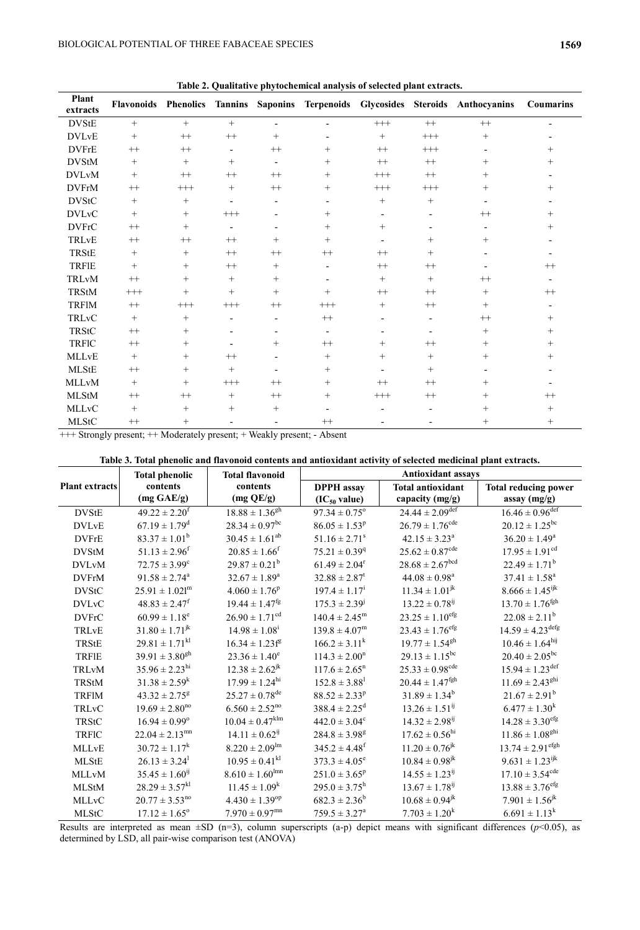| Plant        |          |          |                          |                          |                          |                          |                          | Flavonoids Phenolics Tannins Saponins Terpenoids Glycosides Steroids Anthocyanins | <b>Coumarins</b>         |
|--------------|----------|----------|--------------------------|--------------------------|--------------------------|--------------------------|--------------------------|-----------------------------------------------------------------------------------|--------------------------|
| extracts     |          |          |                          |                          |                          |                          |                          |                                                                                   |                          |
| <b>DVStE</b> | $^{+}$   | $^{+}$   | $^{+}$                   | $\overline{\phantom{a}}$ | $\overline{\phantom{a}}$ | $^{+++}$                 | $++$                     | $^{++}$                                                                           |                          |
| <b>DVLvE</b> | $^{+}$   | $^{++}$  | $^{++}\,$                | $^{+}$                   | ٠                        | $+$                      | $^{+++}$                 | $+$                                                                               |                          |
| <b>DVFrE</b> | $^{++}$  | $^{++}$  | $\overline{\phantom{a}}$ | $^{++}$                  | $^{+}$                   | $^{++}$                  | $^{+++}$                 |                                                                                   | $^{+}$                   |
| <b>DVStM</b> | $^{+}$   | $^{+}$   | $^{+}$                   | $\overline{\phantom{a}}$ | $^{+}$                   | $++$                     | $^{++}$                  | $^{+}$                                                                            | $^{+}$                   |
| <b>DVLvM</b> | $^{+}$   | $^{++}$  | $^{++}$                  | $^{++}$                  | $^{+}$                   | $^{+++}$                 | $^{++}$                  | $^{+}$                                                                            |                          |
| <b>DVFrM</b> | $^{++}$  | $^{+++}$ | $+$                      | $^{++}$                  | $^{+}$                   | $^{+++}$                 | $^{+++}$                 | $+$                                                                               | $^{+}$                   |
| <b>DVStC</b> | $^{+}$   | $^{+}$   | $\overline{\phantom{a}}$ | $\overline{a}$           | $\overline{\phantom{a}}$ | $\! + \!\!\!\!$          | $^{+}$                   |                                                                                   |                          |
| <b>DVLvC</b> | $^{+}$   | $^{+}$   | $^{+++}$                 |                          | $^{+}$                   | $\overline{\phantom{0}}$ |                          | $^{++}$                                                                           | $^{+}$                   |
| <b>DVFrC</b> | $^{++}$  | $^{+}$   | $\overline{\phantom{a}}$ |                          | $^{+}$                   | $^{+}$                   |                          |                                                                                   | $^{+}$                   |
| TRLvE        | $^{++}$  | $^{++}$  | $^{++}$                  | $+$                      | $^{+}$                   | $\overline{\phantom{a}}$ | $^{+}$                   | $+$                                                                               |                          |
| TRStE        | $^{+}$   | $^{+}$   | $^{++}$                  | $^{++}$                  | $++$                     | $^{++}$                  | $^{+}$                   |                                                                                   |                          |
| <b>TRFIE</b> | $^{+}$   | $^{+}$   | $^{++}$                  | $^{+}$                   | $\overline{\phantom{a}}$ | $^{++}$                  | $^{++}$                  |                                                                                   | $^{++}$                  |
| TRLvM        | $++$     | $^{+}$   | $\boldsymbol{+}$         | $^{+}$                   | $\overline{\phantom{0}}$ | $^{+}$                   | $^{+}$                   | $^{++}$                                                                           | $\overline{\phantom{a}}$ |
| <b>TRStM</b> | $^{+++}$ | $^{+}$   | $^{+}$                   | $^{+}$                   | $^{+}$                   | $^{++}$                  | $++$                     | $\qquad \qquad +$                                                                 | $++$                     |
| <b>TRF1M</b> | $++$     | $^{+++}$ | $^{+++}$                 | $^{++}$                  | $^{+++}$                 | $^{+}$                   | $^{++}$                  | $+$                                                                               |                          |
| TRLvC        | $^{+}$   | $^{+}$   | $\overline{a}$           | $\overline{\phantom{a}}$ | $++$                     |                          | $\overline{\phantom{a}}$ | $^{++}$                                                                           | $^{+}$                   |
| <b>TRStC</b> | $^{++}$  | $^{+}$   | $\overline{a}$           |                          | $\overline{\phantom{a}}$ |                          |                          | $\qquad \qquad +$                                                                 | $^{+}$                   |
| <b>TRFIC</b> | $++$     | $^{+}$   | $\overline{a}$           | $^{+}$                   | $^{++}$                  | $^{+}$                   | $^{++}$                  | $+$                                                                               | $^{+}$                   |
| <b>MLLvE</b> | $^{+}$   | $^{+}$   | $^{++}$                  | $\overline{a}$           | $^{+}$                   | $^{+}$                   | $^{+}$                   | $^{+}$                                                                            | $^+$                     |
| <b>MLStE</b> | $^{++}$  | $^{+}$   | $+$                      |                          | $^{+}$                   |                          | $^{+}$                   |                                                                                   |                          |
| <b>MLLvM</b> | $^{+}$   | $^{+}$   | $^{+++}$                 | $^{++}$                  | $^{+}$                   | $^{++}$                  | $^{++}$                  | $\qquad \qquad +$                                                                 |                          |
| <b>MLStM</b> | $^{++}$  | $^{++}$  | $\! + \!\!\!\!$          | $++$                     | $^{+}$                   | $^{+++}$                 | $^{++}$                  | $^{+}$                                                                            | $^{++}$                  |
| <b>MLLvC</b> | $^{+}$   | $^{+}$   | $^{+}$                   | $^{+}$                   | $\overline{\phantom{a}}$ |                          | $\blacksquare$           | $^{+}$                                                                            | $^{+}$                   |
| <b>MLStC</b> | $++$     | $^{+}$   |                          |                          | $^{++}$                  |                          |                          | $^{+}$                                                                            | $^{+}$                   |

**Table 2. Qualitative phytochemical analysis of selected plant extracts.**

+++ Strongly present; ++ Moderately present; + Weakly present; - Absent

|                       | <b>Total phenolic</b>          | <b>Total flavonoid</b>          | <b>Antioxidant assays</b>     |                                 |                                 |  |
|-----------------------|--------------------------------|---------------------------------|-------------------------------|---------------------------------|---------------------------------|--|
| <b>Plant extracts</b> | contents                       | contents                        | <b>DPPH</b> assay             | <b>Total antioxidant</b>        | <b>Total reducing power</b>     |  |
|                       | (mg GAE/g)                     | (mg QE/g)                       | $(IC_{50}$ value)             | capacity (mg/g)                 | assay (mg/g)                    |  |
| <b>DVStE</b>          | $49.22 \pm 2.20$ <sup>f</sup>  | $18.88 \pm 1.36^{gh}$           | $97.34 \pm 0.75^{\circ}$      | $24.44 \pm 2.09$ <sup>def</sup> | $16.46 \pm 0.96^{\text{def}}$   |  |
| <b>DVLvE</b>          | $67.19 \pm 1.79$ <sup>d</sup>  | $28.34 \pm 0.97$ <sup>bc</sup>  | $86.05 \pm 1.53^p$            | $26.79 \pm 1.76^{\text{cde}}$   | $20.12 \pm 1.25^{\rm bc}$       |  |
| <b>DVFrE</b>          | $83.37 \pm 1.01^b$             | $30.45 \pm 1.61^{ab}$           | $51.16 \pm 2.71$ <sup>s</sup> | $42.15 \pm 3.23^a$              | $36.20 \pm 1.49^a$              |  |
| <b>DVStM</b>          | $51.13 \pm 2.96$ <sup>f</sup>  | $20.85 \pm 1.66$ <sup>f</sup>   | $75.21 \pm 0.39$ <sup>q</sup> | $25.62 \pm 0.87^{\text{cde}}$   | $17.95 \pm 1.91^{\text{cd}}$    |  |
| <b>DVLvM</b>          | $72.75 \pm 3.99^{\circ}$       | $29.87 \pm 0.21^b$              | $61.49 \pm 2.04^r$            | $28.68 \pm 2.67^{bcd}$          | $22.49 \pm 1.71^b$              |  |
| <b>DVFrM</b>          | $91.58 \pm 2.74^a$             | $32.67 \pm 1.89^a$              | $32.88 \pm 2.87^t$            | $44.08 \pm 0.98^a$              | $37.41 \pm 1.58^a$              |  |
| <b>DVStC</b>          | $25.91 \pm 1.021^m$            | $4.060 \pm 1.76^p$              | $197.4 \pm 1.17^{\mathrm{i}}$ | $11.34 \pm 1.01^{jk}$           | $8.666 \pm 1.45$ <sup>ijk</sup> |  |
| <b>DVLvC</b>          | $48.83 \pm 2.47$ <sup>f</sup>  | $19.44 \pm 1.47$ <sup>fg</sup>  | $175.3 \pm 2.39^{j}$          | $13.22 \pm 0.78^{i}$            | $13.70 \pm 1.76$ <sup>fgh</sup> |  |
| <b>DVFrC</b>          | $60.99 \pm 1.18^e$             | $26.90 \pm 1.71^{\text{cd}}$    | $140.4 \pm 2.45^{\rm m}$      | $23.25 \pm 1.10^{\text{eff}}$   | $22.08 \pm 2.11^b$              |  |
| TRLvE                 | $31.80 \pm 1.71^{jk}$          | $14.98 \pm 1.08^i$              | $139.8 \pm 4.07^m$            | $23.43 \pm 1.76$ <sup>efg</sup> | $14.59 \pm 4.23^{\text{defg}}$  |  |
| TRStE                 | $29.81 \pm 1.71$ <sup>kl</sup> | $16.34 \pm 1.23$ f <sup>g</sup> | $166.2 \pm 3.11^k$            | $19.77 \pm 1.54$ <sup>gh</sup>  | $10.46 \pm 1.64^{\text{hij}}$   |  |
| <b>TRFIE</b>          | $39.91 \pm 3.80^{gh}$          | $23.36 \pm 1.40^e$              | $114.3 \pm 2.00^{\rm n}$      | $29.13 \pm 1.15^{bc}$           | $20.40 \pm 2.05^{bc}$           |  |
| TRLvM                 | $35.96 \pm 2.23^{\text{hi}}$   | $12.38 \pm 2.62^{jk}$           | $117.6 \pm 2.65$ <sup>n</sup> | $25.33 \pm 0.98^{\text{cde}}$   | $15.94 \pm 1.23$ <sup>def</sup> |  |
| <b>TRStM</b>          | $31.38 \pm 2.59^k$             | $17.99 \pm 1.24^{\text{hi}}$    | $152.8 \pm 3.88^1$            | $20.44 \pm 1.47$ <sup>fgh</sup> | $11.69 \pm 2.43^{ghi}$          |  |
| <b>TRFIM</b>          | $43.32 \pm 2.75$ <sup>g</sup>  | $25.27 \pm 0.78^{\text{de}}$    | $88.52 \pm 2.33^p$            | $31.89 \pm 1.34^b$              | $21.67 \pm 2.91^b$              |  |
| TRLvC                 | $19.69 \pm 2.80^{\text{no}}$   | $6.560 \pm 2.52^{\text{no}}$    | $388.4 \pm 2.25$ <sup>d</sup> | $13.26 \pm 1.51^{ij}$           | $6.477 \pm 1.30^k$              |  |
| <b>TRStC</b>          | $16.94 \pm 0.99^{\circ}$       | $10.04 \pm 0.47$ <sup>klm</sup> | $442.0 \pm 3.04^c$            | $14.32 \pm 2.98^{ij}$           | $14.28 \pm 3.30^{\rm efg}$      |  |
| <b>TRFIC</b>          | $22.04 \pm 2.13$ <sup>mn</sup> | $14.11 \pm 0.62^{i}$            | $284.8 \pm 3.98$ <sup>g</sup> | $17.62 \pm 0.56^{\text{hi}}$    | $11.86 \pm 1.08^{ghi}$          |  |
| <b>MLLvE</b>          | $30.72 \pm 1.17^k$             | $8.220 \pm 2.09^{\text{lm}}$    | $345.2 \pm 4.48$ <sup>f</sup> | $11.20 \pm 0.76$ <sup>jk</sup>  | $13.74 \pm 2.91^{\text{efgh}}$  |  |
| <b>MLStE</b>          | $26.13 \pm 3.24^1$             | $10.95 \pm 0.41$ <sup>kl</sup>  | $373.3 \pm 4.05^e$            | $10.84 \pm 0.98$ <sup>jk</sup>  | $9.631 \pm 1.23^{ijk}$          |  |
| <b>MLLvM</b>          | $35.45 \pm 1.60^{ij}$          | $8.610 \pm 1.60$ <sup>lmn</sup> | $251.0 \pm 3.65^p$            | $14.55 \pm 1.23^{ij}$           | $17.10 \pm 3.54^{\text{cde}}$   |  |
| <b>MLStM</b>          | $28.29 \pm 3.57^{kl}$          | $11.45 \pm 1.09^k$              | $295.0 \pm 3.75^{\rm h}$      | $13.67 \pm 1.78^{i\bar{j}}$     | $13.88 \pm 3.76$ <sup>efg</sup> |  |
| <b>MLLvC</b>          | $20.77 \pm 3.53^{no}$          | $4.430 \pm 1.39^{\text{op}}$    | $682.3 \pm 2.36^b$            | $10.68 \pm 0.94$ <sup>jk</sup>  | $7.901 \pm 1.56^{jk}$           |  |
| <b>MLStC</b>          | $17.12 \pm 1.65^{\circ}$       | $7.970 \pm 0.97$ <sup>mn</sup>  | $759.5 \pm 3.27^{\circ}$      | $7.703 \pm 1.20^k$              | $6.691 \pm 1.13^k$              |  |

Results are interpreted as mean  $\pm SD$  (n=3), column superscripts (a-p) depict means with significant differences ( $p$ <0.05), as determined by LSD, all pair-wise comparison test (ANOVA)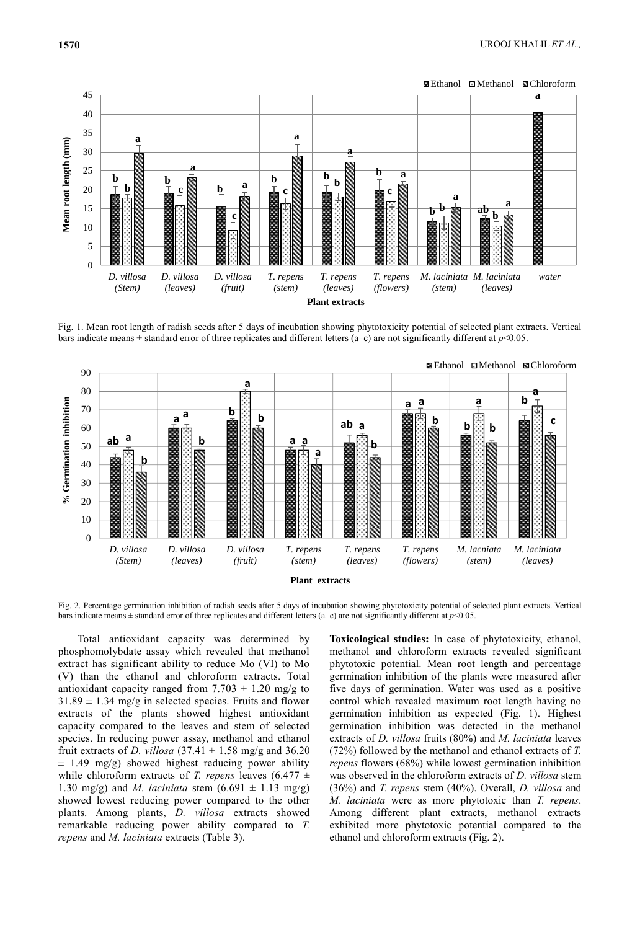



Fig. 1. Mean root length of radish seeds after 5 days of incubation showing phytotoxicity potential of selected plant extracts. Vertical bars indicate means  $\pm$  standard error of three replicates and different letters (a–c) are not significantly different at  $p$ <0.05.



Fig. 2. Percentage germination inhibition of radish seeds after 5 days of incubation showing phytotoxicity potential of selected plant extracts. Vertical bars indicate means  $\pm$  standard error of three replicates and different letters (a–c) are not significantly different at  $p$ <0.05.

Total antioxidant capacity was determined by phosphomolybdate assay which revealed that methanol extract has significant ability to reduce Mo (VI) to Mo (V) than the ethanol and chloroform extracts. Total antioxidant capacity ranged from  $7.703 \pm 1.20$  mg/g to  $31.89 \pm 1.34$  mg/g in selected species. Fruits and flower extracts of the plants showed highest antioxidant capacity compared to the leaves and stem of selected species. In reducing power assay, methanol and ethanol fruit extracts of *D. villosa*  $(37.41 \pm 1.58 \text{ mg/g} \text{ and } 36.20)$  $\pm$  1.49 mg/g) showed highest reducing power ability while chloroform extracts of *T. repens* leaves  $(6.477 \pm$ 1.30 mg/g) and *M. laciniata* stem  $(6.691 \pm 1.13 \text{ mg/g})$ showed lowest reducing power compared to the other plants. Among plants, *D. villosa* extracts showed remarkable reducing power ability compared to *T. repens* and *M. laciniata* extracts (Table 3).

**Toxicological studies:** In case of phytotoxicity, ethanol, methanol and chloroform extracts revealed significant phytotoxic potential. Mean root length and percentage germination inhibition of the plants were measured after five days of germination. Water was used as a positive control which revealed maximum root length having no germination inhibition as expected (Fig. 1). Highest germination inhibition was detected in the methanol extracts of *D. villosa* fruits (80%) and *M. laciniata* leaves (72%) followed by the methanol and ethanol extracts of *T. repens* flowers (68%) while lowest germination inhibition was observed in the chloroform extracts of *D. villosa* stem (36%) and *T. repens* stem (40%). Overall, *D. villosa* and *M. laciniata* were as more phytotoxic than *T. repens*. Among different plant extracts, methanol extracts exhibited more phytotoxic potential compared to the ethanol and chloroform extracts (Fig. 2).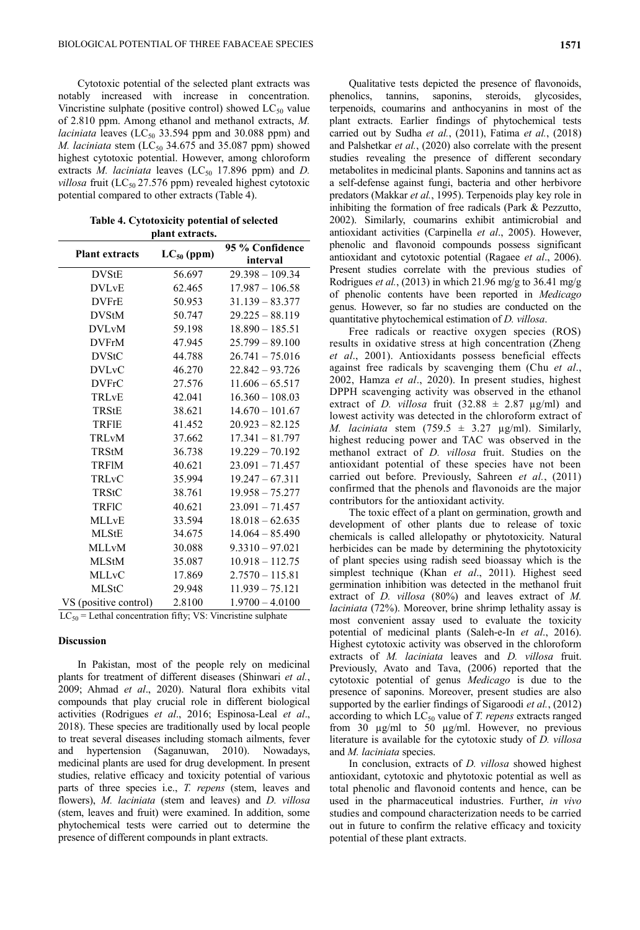Cytotoxic potential of the selected plant extracts was notably increased with increase in concentration. Vincristine sulphate (positive control) showed  $LC_{50}$  value of 2.810 ppm. Among ethanol and methanol extracts, *M. laciniata* leaves ( $LC_{50}$  33.594 ppm and 30.088 ppm) and *M. laciniata* stem (LC<sub>50</sub> 34.675 and 35.087 ppm) showed highest cytotoxic potential. However, among chloroform extracts *M. laciniata* leaves  $(LC_{50}$  17.896 ppm) and *D. villosa* fruit (LC<sub>50</sub> 27.576 ppm) revealed highest cytotoxic potential compared to other extracts (Table 4).

| plant extracts.         |                 |                             |  |  |  |
|-------------------------|-----------------|-----------------------------|--|--|--|
| <b>Plant extracts</b>   | $LC_{50}$ (ppm) | 95 % Confidence<br>interval |  |  |  |
| <b>DVStE</b>            | 56.697          | $29.398 - 109.34$           |  |  |  |
| <b>DVL<sub>v</sub>E</b> | 62.465          | $17.987 - 106.58$           |  |  |  |
| <b>DVFrE</b>            | 50.953          | $31.139 - 83.377$           |  |  |  |
| <b>DVStM</b>            | 50.747          | $29.225 - 88.119$           |  |  |  |
| <b>DVLvM</b>            | 59.198          | $18.890 - 185.51$           |  |  |  |
| <b>DVFrM</b>            | 47.945          | $25.799 - 89.100$           |  |  |  |
| <b>DVStC</b>            | 44.788          | $26.741 - 75.016$           |  |  |  |
| <b>DVLvC</b>            | 46.270          | $22.842 - 93.726$           |  |  |  |
| <b>DVFrC</b>            | 27.576          | $11.606 - 65.517$           |  |  |  |
| TRLvE                   | 42.041          | $16.360 - 108.03$           |  |  |  |
| TRStE                   | 38.621          | $14.670 - 101.67$           |  |  |  |
| TRFIE                   | 41.452          | $20.923 - 82.125$           |  |  |  |
| TRLvM                   | 37.662          | $17.341 - 81.797$           |  |  |  |
| TRStM                   | 36.738          | $19.229 - 70.192$           |  |  |  |
| <b>TRFIM</b>            | 40.621          | $23.091 - 71.457$           |  |  |  |
| TRLvC                   | 35.994          | $19.247 - 67.311$           |  |  |  |
| TRStC                   | 38.761          | $19.958 - 75.277$           |  |  |  |
| TRFIC                   | 40.621          | $23.091 - 71.457$           |  |  |  |
| <b>MLLvE</b>            | 33.594          | $18.018 - 62.635$           |  |  |  |
| <b>MLStE</b>            | 34.675          | $14.064 - 85.490$           |  |  |  |
| <b>MLLvM</b>            | 30.088          | $9.3310 - 97.021$           |  |  |  |
| <b>MLStM</b>            | 35.087          | $10.918 - 112.75$           |  |  |  |
| <b>MLLvC</b>            | 17.869          | $2.7570 - 115.81$           |  |  |  |
| <b>MLStC</b>            | 29.948          | $11.939 - 75.121$           |  |  |  |
| VS (positive control)   | 2.8100          | $1.9700 - 4.0100$           |  |  |  |

**Table 4. Cytotoxicity potential of selected** 

 $LC_{50}$  = Lethal concentration fifty; VS: Vincristine sulphate

#### **Discussion**

In Pakistan, most of the people rely on medicinal plants for treatment of different diseases (Shinwari *et al.*, 2009; Ahmad *et al*., 2020). Natural flora exhibits vital compounds that play crucial role in different biological activities (Rodrigues *et al*., 2016; Espinosa-Leal *et al*., 2018). These species are traditionally used by local people to treat several diseases including stomach ailments, fever and hypertension (Saganuwan, 2010). Nowadays, medicinal plants are used for drug development. In present studies, relative efficacy and toxicity potential of various parts of three species i.e., *T. repens* (stem, leaves and flowers), *M. laciniata* (stem and leaves) and *D. villosa* (stem, leaves and fruit) were examined. In addition, some phytochemical tests were carried out to determine the presence of different compounds in plant extracts.

Qualitative tests depicted the presence of flavonoids, phenolics, tannins, saponins, steroids, glycosides, terpenoids, coumarins and anthocyanins in most of the plant extracts. Earlier findings of phytochemical tests carried out by Sudha *et al.*, (2011), Fatima *et al.*, (2018) and Palshetkar *et al.*, (2020) also correlate with the present studies revealing the presence of different secondary metabolites in medicinal plants. Saponins and tannins act as a self-defense against fungi, bacteria and other herbivore predators (Makkar *et al.*, 1995). Terpenoids play key role in inhibiting the formation of free radicals (Park & Pezzutto, 2002). Similarly, coumarins exhibit antimicrobial and antioxidant activities (Carpinella *et al*., 2005). However, phenolic and flavonoid compounds possess significant antioxidant and cytotoxic potential (Ragaee *et al*., 2006). Present studies correlate with the previous studies of Rodrigues *et al.*, (2013) in which 21.96 mg/g to 36.41 mg/g of phenolic contents have been reported in *Medicago* genus. However, so far no studies are conducted on the quantitative phytochemical estimation of *D. villosa*.

Free radicals or reactive oxygen species (ROS) results in oxidative stress at high concentration (Zheng *et al*., 2001). Antioxidants possess beneficial effects against free radicals by scavenging them (Chu *et al*., 2002, Hamza *et al*., 2020). In present studies, highest DPPH scavenging activity was observed in the ethanol extract of *D. villosa* fruit  $(32.88 \pm 2.87 \text{ µg/ml})$  and lowest activity was detected in the chloroform extract of *M. laciniata* stem  $(759.5 \pm 3.27 \mu g/ml)$ . Similarly, highest reducing power and TAC was observed in the methanol extract of *D. villosa* fruit. Studies on the antioxidant potential of these species have not been carried out before. Previously, Sahreen *et al.*, (2011) confirmed that the phenols and flavonoids are the major contributors for the antioxidant activity.

The toxic effect of a plant on germination, growth and development of other plants due to release of toxic chemicals is called allelopathy or phytotoxicity. Natural herbicides can be made by determining the phytotoxicity of plant species using radish seed bioassay which is the simplest technique (Khan *et al*., 2011). Highest seed germination inhibition was detected in the methanol fruit extract of *D. villosa* (80%) and leaves extract of *M. laciniata* (72%). Moreover, brine shrimp lethality assay is most convenient assay used to evaluate the toxicity potential of medicinal plants (Saleh-e-In *et al*., 2016). Highest cytotoxic activity was observed in the chloroform extracts of *M. laciniata* leaves and *D. villosa* fruit. Previously, Avato and Tava, (2006) reported that the cytotoxic potential of genus *Medicago* is due to the presence of saponins. Moreover, present studies are also supported by the earlier findings of Sigaroodi *et al.*, (2012) according to which LC<sub>50</sub> value of *T. repens* extracts ranged from 30 µg/ml to 50 µg/ml. However, no previous literature is available for the cytotoxic study of *D. villosa*  and *M. laciniata* species.

In conclusion, extracts of *D. villosa* showed highest antioxidant, cytotoxic and phytotoxic potential as well as total phenolic and flavonoid contents and hence, can be used in the pharmaceutical industries. Further, *in vivo* studies and compound characterization needs to be carried out in future to confirm the relative efficacy and toxicity potential of these plant extracts.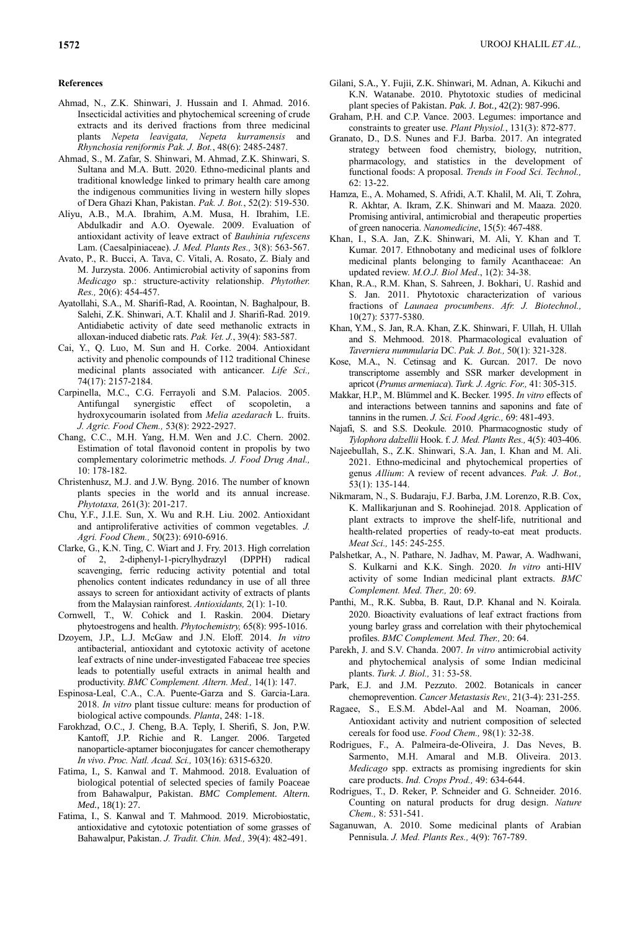#### **References**

- Ahmad, N., Z.K. Shinwari, J. Hussain and I. Ahmad. 2016. Insecticidal activities and phytochemical screening of crude extracts and its derived fractions from three medicinal plants *Nepeta leavigata, Nepeta kurramensis* and *Rhynchosia reniformis Pak. J. Bot.*, 48(6): 2485-2487.
- Ahmad, S., M. Zafar, S. Shinwari, M. Ahmad, Z.K. Shinwari, S. Sultana and M.A. Butt. 2020. Ethno-medicinal plants and traditional knowledge linked to primary health care among the indigenous communities living in western hilly slopes of Dera Ghazi Khan, Pakistan. *Pak. J. Bot.*, 52(2): 519-530.
- Aliyu, A.B., M.A. Ibrahim, A.M. Musa, H. Ibrahim, I.E. Abdulkadir and A.O. Oyewale. 2009. Evaluation of antioxidant activity of leave extract of *Bauhinia rufescens* Lam. (Caesalpiniaceae). *J. Med. Plants Res.,* 3(8): 563-567.
- Avato, P., R. Bucci, A. Tava, C. Vitali, A. Rosato, Z. Bialy and M. Jurzysta. 2006. Antimicrobial activity of saponins from *Medicago* sp.: structure-activity relationship. *Phytother. Res.,* 20(6): 454-457.
- Ayatollahi, S.A., M. Sharifi-Rad, A. Roointan, N. Baghalpour, B. Salehi, Z.K. Shinwari, A.T. Khalil and J. Sharifi-Rad. 2019. Antidiabetic activity of date seed methanolic extracts in alloxan-induced diabetic rats. *Pak. Vet. J.*, 39(4): 583-587.
- Cai, Y., Q. Luo, M. Sun and H. Corke. 2004. Antioxidant activity and phenolic compounds of 112 traditional Chinese medicinal plants associated with anticancer. *Life Sci.,* 74(17): 2157-2184.
- Carpinella, M.C., C.G. Ferrayoli and S.M. Palacios. 2005. Antifungal synergistic effect of scopoletin, a hydroxycoumarin isolated from *Melia azedarach* L. fruits. *J. Agric. Food Chem.,* 53(8): 2922-2927.
- Chang, C.C., M.H. Yang, H.M. Wen and J.C. Chern. 2002. Estimation of total flavonoid content in propolis by two complementary colorimetric methods. *J. Food Drug Anal.,* 10: 178-182.
- Christenhusz, M.J. and J.W. Byng. 2016. The number of known plants species in the world and its annual increase. *Phytotaxa,* 261(3): 201-217.
- Chu, Y.F., J.I.E. Sun, X. Wu and R.H. Liu. 2002. Antioxidant and antiproliferative activities of common vegetables. *J. Agri. Food Chem.,* 50(23): 6910-6916.
- Clarke, G., K.N. Ting, C. Wiart and J. Fry. 2013. High correlation of 2, 2-diphenyl-1-picrylhydrazyl (DPPH) radical scavenging, ferric reducing activity potential and total phenolics content indicates redundancy in use of all three assays to screen for antioxidant activity of extracts of plants from the Malaysian rainforest. *Antioxidants,* 2(1): 1-10.
- Cornwell, T., W. Cohick and I. Raskin. 2004. Dietary phytoestrogens and health. *Phytochemistry,* 65(8): 995-1016.
- Dzoyem, J.P., L.J. McGaw and J.N. Eloff. 2014. *In vitro* antibacterial, antioxidant and cytotoxic activity of acetone leaf extracts of nine under-investigated Fabaceae tree species leads to potentially useful extracts in animal health and productivity. *BMC Complement. Altern. Med.,* 14(1): 147.
- Espinosa-Leal, C.A., C.A. Puente-Garza and S. Garcia-Lara. 2018. *In vitro* plant tissue culture: means for production of biological active compounds. *Planta*, 248: 1-18.
- Farokhzad, O.C., J. Cheng, B.A. Teply, I. Sherifi, S. Jon, P.W. Kantoff, J.P. Richie and R. Langer. 2006. Targeted nanoparticle-aptamer bioconjugates for cancer chemotherapy *In vivo*. *Proc. Natl. Acad. Sci.,* 103(16): 6315-6320.
- Fatima, I., S. Kanwal and T. Mahmood. 2018. Evaluation of biological potential of selected species of family Poaceae from Bahawalpur, Pakistan. *BMC Complement. Altern. Med.*, 18(1): 27.
- Fatima, I., S. Kanwal and T. Mahmood. 2019. Microbiostatic, antioxidative and cytotoxic potentiation of some grasses of Bahawalpur, Pakistan. *J. Tradit. Chin. Med.,* 39(4): 482-491.
- Gilani, S.A., Y. Fujii, Z.K. Shinwari, M. Adnan, A. Kikuchi and K.N. Watanabe. 2010. Phytotoxic studies of medicinal plant species of Pakistan. *Pak. J. Bot.,* 42(2): 987-996.
- Graham, P.H. and C.P. Vance. 2003. Legumes: importance and constraints to greater use. *Plant Physiol.*, 131(3): 872-877.
- Granato, D., D.S. Nunes and F.J. Barba. 2017. An integrated strategy between food chemistry, biology, nutrition, pharmacology, and statistics in the development of functional foods: A proposal. *Trends in Food Sci. Technol.,*  62: 13-22.
- Hamza, E., A. Mohamed, S. Afridi, A.T. Khalil, M. Ali, T. Zohra, R. Akhtar, A. Ikram, Z.K. Shinwari and M. Maaza. 2020. Promising antiviral, antimicrobial and therapeutic properties of green nanoceria. *Nanomedicine*, 15(5): 467-488.
- Khan, I., S.A. Jan, Z.K. Shinwari, M. Ali, Y. Khan and T. Kumar. 2017. Ethnobotany and medicinal uses of folklore medicinal plants belonging to family Acanthaceae: An updated review. *M.O.J. Biol Med*., 1(2): 34-38.
- Khan, R.A., R.M. Khan, S. Sahreen, J. Bokhari, U. Rashid and S. Jan. 2011. Phytotoxic characterization of various fractions of *Launaea procumbens*. *Afr. J. Biotechnol.,*  10(27): 5377-5380.
- Khan, Y.M., S. Jan, R.A. Khan, Z.K. Shinwari, F. Ullah, H. Ullah and S. Mehmood. 2018. Pharmacological evaluation of *Taverniera nummularia* DC. *Pak. J. Bot.,* 50(1): 321-328.
- Kose, M.A., N. Cetinsag and K. Gurcan. 2017. De novo transcriptome assembly and SSR marker development in apricot (*Prunus armeniaca*). *Turk. J. Agric. For.,* 41: 305-315.
- Makkar, H.P., M. Blümmel and K. Becker. 1995. *In vitro* effects of and interactions between tannins and saponins and fate of tannins in the rumen. *J. Sci. Food Agric.,* 69: 481-493.
- Najafi, S. and S.S. Deokule. 2010. Pharmacognostic study of *Tylophora dalzellii* Hook. f. *J. Med. Plants Res.,* 4(5): 403-406.
- Najeebullah, S., Z.K. Shinwari, S.A. Jan, I. Khan and M. Ali. 2021. Ethno-medicinal and phytochemical properties of genus *Allium*: A review of recent advances. *Pak. J. Bot.,* 53(1): 135-144.
- Nikmaram, N., S. Budaraju, F.J. Barba, J.M. Lorenzo, R.B. Cox, K. Mallikarjunan and S. Roohinejad. 2018. Application of plant extracts to improve the shelf-life, nutritional and health-related properties of ready-to-eat meat products. *Meat Sci.,* 145: 245-255.
- Palshetkar, A., N. Pathare, N. Jadhav, M. Pawar, A. Wadhwani, S. Kulkarni and K.K. Singh. 2020. *In vitro* anti-HIV activity of some Indian medicinal plant extracts. *BMC Complement. Med. Ther.,* 20: 69.
- Panthi, M., R.K. Subba, B. Raut, D.P. Khanal and N. Koirala. 2020. Bioactivity evaluations of leaf extract fractions from young barley grass and correlation with their phytochemical profiles. *BMC Complement. Med. Ther.,* 20: 64.
- Parekh, J. and S.V. Chanda. 2007. *In vitro* antimicrobial activity and phytochemical analysis of some Indian medicinal plants. *Turk. J. Biol.,* 31: 53-58.
- Park, E.J. and J.M. Pezzuto. 2002. Botanicals in cancer chemoprevention. *Cancer Metastasis Rev.,* 21(3-4): 231-255.
- Ragaee, S., E.S.M. Abdel-Aal and M. Noaman, 2006. Antioxidant activity and nutrient composition of selected cereals for food use. *Food Chem.,* 98(1): 32-38.
- Rodrigues, F., A. Palmeira-de-Oliveira, J. Das Neves, B. Sarmento, M.H. Amaral and M.B. Oliveira. 2013. *Medicago* spp. extracts as promising ingredients for skin care products. *Ind. Crops Prod.,* 49: 634-644.
- Rodrigues, T., D. Reker, P. Schneider and G. Schneider. 2016. Counting on natural products for drug design. *Nature Chem.,* 8: 531-541.
- Saganuwan, A. 2010. Some medicinal plants of Arabian Pennisula. *J. Med. Plants Res.,* 4(9): 767-789.